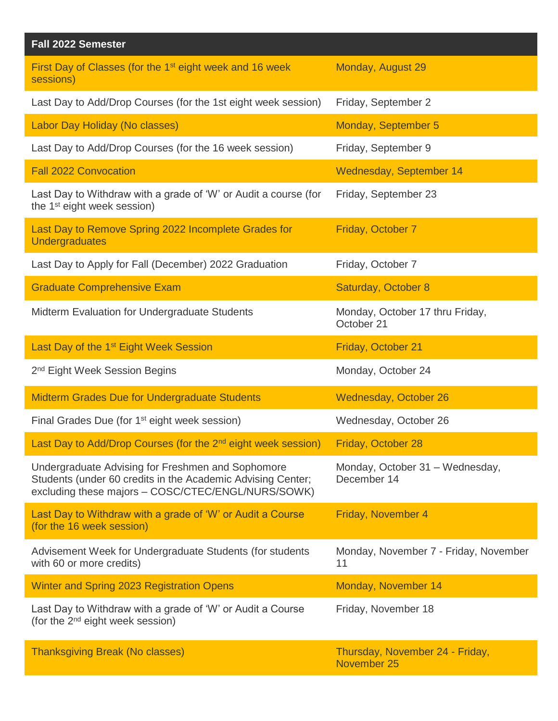| Fall 2022 Semester                                                                                                                                                     |                                                |
|------------------------------------------------------------------------------------------------------------------------------------------------------------------------|------------------------------------------------|
| First Day of Classes (for the 1 <sup>st</sup> eight week and 16 week<br>sessions)                                                                                      | Monday, August 29                              |
| Last Day to Add/Drop Courses (for the 1st eight week session)                                                                                                          | Friday, September 2                            |
| Labor Day Holiday (No classes)                                                                                                                                         | Monday, September 5                            |
| Last Day to Add/Drop Courses (for the 16 week session)                                                                                                                 | Friday, September 9                            |
| <b>Fall 2022 Convocation</b>                                                                                                                                           | Wednesday, September 14                        |
| Last Day to Withdraw with a grade of 'W' or Audit a course (for<br>the 1 <sup>st</sup> eight week session)                                                             | Friday, September 23                           |
| Last Day to Remove Spring 2022 Incomplete Grades for<br><b>Undergraduates</b>                                                                                          | Friday, October 7                              |
| Last Day to Apply for Fall (December) 2022 Graduation                                                                                                                  | Friday, October 7                              |
| <b>Graduate Comprehensive Exam</b>                                                                                                                                     | Saturday, October 8                            |
| Midterm Evaluation for Undergraduate Students                                                                                                                          | Monday, October 17 thru Friday,<br>October 21  |
| Last Day of the 1 <sup>st</sup> Eight Week Session                                                                                                                     | Friday, October 21                             |
| 2 <sup>nd</sup> Eight Week Session Begins                                                                                                                              | Monday, October 24                             |
| <b>Midterm Grades Due for Undergraduate Students</b>                                                                                                                   | Wednesday, October 26                          |
| Final Grades Due (for 1 <sup>st</sup> eight week session)                                                                                                              | Wednesday, October 26                          |
| Last Day to Add/Drop Courses (for the 2 <sup>nd</sup> eight week session) Friday, October 28                                                                           |                                                |
| Undergraduate Advising for Freshmen and Sophomore<br>Students (under 60 credits in the Academic Advising Center;<br>excluding these majors - COSC/CTEC/ENGL/NURS/SOWK) | Monday, October 31 - Wednesday,<br>December 14 |
| Last Day to Withdraw with a grade of 'W' or Audit a Course<br>(for the 16 week session)                                                                                | Friday, November 4                             |
| Advisement Week for Undergraduate Students (for students<br>with 60 or more credits)                                                                                   | Monday, November 7 - Friday, November<br>11    |
| Winter and Spring 2023 Registration Opens                                                                                                                              | Monday, November 14                            |
| Last Day to Withdraw with a grade of 'W' or Audit a Course<br>(for the 2 <sup>nd</sup> eight week session)                                                             | Friday, November 18                            |
| <b>Thanksgiving Break (No classes)</b>                                                                                                                                 | Thursday, November 24 - Friday,<br>November 25 |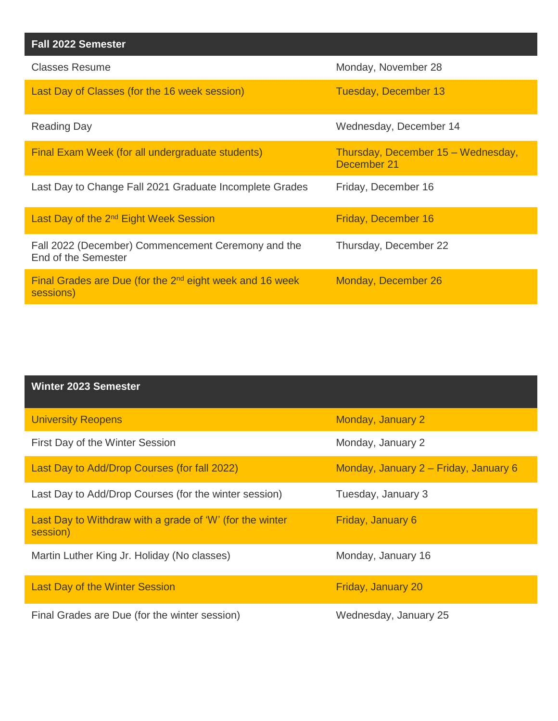| <b>Fall 2022 Semester</b>                                                 |                                                   |
|---------------------------------------------------------------------------|---------------------------------------------------|
| <b>Classes Resume</b>                                                     | Monday, November 28                               |
| Last Day of Classes (for the 16 week session)                             | Tuesday, December 13                              |
| <b>Reading Day</b>                                                        | Wednesday, December 14                            |
| Final Exam Week (for all undergraduate students)                          | Thursday, December 15 - Wednesday,<br>December 21 |
| Last Day to Change Fall 2021 Graduate Incomplete Grades                   | Friday, December 16                               |
| Last Day of the 2 <sup>nd</sup> Eight Week Session                        | Friday, December 16                               |
| Fall 2022 (December) Commencement Ceremony and the<br>End of the Semester | Thursday, December 22                             |
| Final Grades are Due (for the $2nd$ eight week and 16 week<br>sessions)   | Monday, December 26                               |

| <b>Winter 2023 Semester</b>                                          |                                       |
|----------------------------------------------------------------------|---------------------------------------|
| <b>University Reopens</b>                                            | Monday, January 2                     |
| First Day of the Winter Session                                      | Monday, January 2                     |
| Last Day to Add/Drop Courses (for fall 2022)                         | Monday, January 2 – Friday, January 6 |
| Last Day to Add/Drop Courses (for the winter session)                | Tuesday, January 3                    |
| Last Day to Withdraw with a grade of 'W' (for the winter<br>session) | Friday, January 6                     |
| Martin Luther King Jr. Holiday (No classes)                          | Monday, January 16                    |
| <b>Last Day of the Winter Session</b>                                | Friday, January 20                    |
| Final Grades are Due (for the winter session)                        | Wednesday, January 25                 |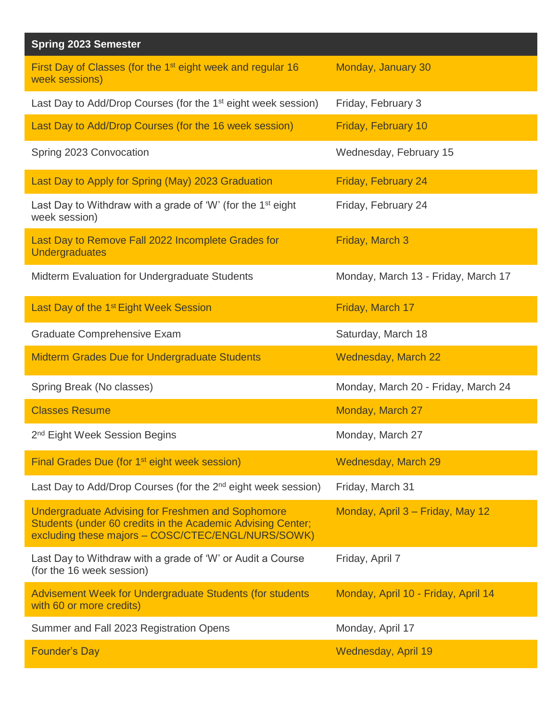| <b>Spring 2023 Semester</b>                                                                                                                                            |                                     |
|------------------------------------------------------------------------------------------------------------------------------------------------------------------------|-------------------------------------|
| First Day of Classes (for the 1 <sup>st</sup> eight week and regular 16<br>week sessions)                                                                              | Monday, January 30                  |
| Last Day to Add/Drop Courses (for the 1 <sup>st</sup> eight week session)                                                                                              | Friday, February 3                  |
| Last Day to Add/Drop Courses (for the 16 week session)                                                                                                                 | Friday, February 10                 |
| Spring 2023 Convocation                                                                                                                                                | Wednesday, February 15              |
| Last Day to Apply for Spring (May) 2023 Graduation                                                                                                                     | Friday, February 24                 |
| Last Day to Withdraw with a grade of 'W' (for the $1st$ eight<br>week session)                                                                                         | Friday, February 24                 |
| Last Day to Remove Fall 2022 Incomplete Grades for<br>Undergraduates                                                                                                   | Friday, March 3                     |
| Midterm Evaluation for Undergraduate Students                                                                                                                          | Monday, March 13 - Friday, March 17 |
| Last Day of the 1 <sup>st</sup> Eight Week Session                                                                                                                     | Friday, March 17                    |
| <b>Graduate Comprehensive Exam</b>                                                                                                                                     | Saturday, March 18                  |
| <b>Midterm Grades Due for Undergraduate Students</b>                                                                                                                   | <b>Wednesday, March 22</b>          |
| Spring Break (No classes)                                                                                                                                              | Monday, March 20 - Friday, March 24 |
| <b>Classes Resume</b>                                                                                                                                                  | Monday, March 27                    |
| 2 <sup>nd</sup> Eight Week Session Begins                                                                                                                              | Monday, March 27                    |
| Final Grades Due (for 1 <sup>st</sup> eight week session)                                                                                                              | Wednesday, March 29                 |
| Last Day to Add/Drop Courses (for the 2 <sup>nd</sup> eight week session)                                                                                              | Friday, March 31                    |
| Undergraduate Advising for Freshmen and Sophomore<br>Students (under 60 credits in the Academic Advising Center;<br>excluding these majors - COSC/CTEC/ENGL/NURS/SOWK) | Monday, April 3 - Friday, May 12    |
| Last Day to Withdraw with a grade of 'W' or Audit a Course<br>(for the 16 week session)                                                                                | Friday, April 7                     |
| Advisement Week for Undergraduate Students (for students<br>with 60 or more credits)                                                                                   | Monday, April 10 - Friday, April 14 |
| Summer and Fall 2023 Registration Opens                                                                                                                                | Monday, April 17                    |
| <b>Founder's Day</b>                                                                                                                                                   | Wednesday, April 19                 |